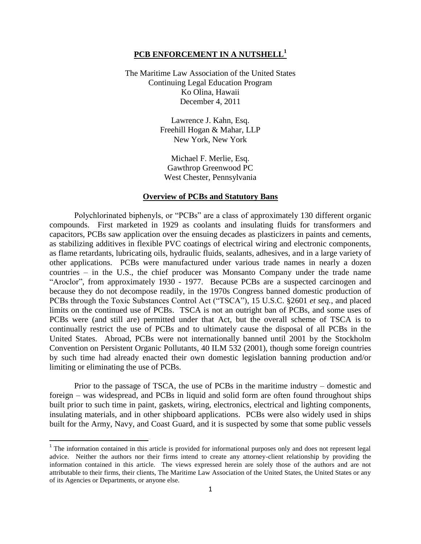# **PCB ENFORCEMENT IN A NUTSHELL<sup>1</sup>**

The Maritime Law Association of the United States Continuing Legal Education Program Ko Olina, Hawaii December 4, 2011

> Lawrence J. Kahn, Esq. Freehill Hogan & Mahar, LLP New York, New York

Michael F. Merlie, Esq. Gawthrop Greenwood PC West Chester, Pennsylvania

### **Overview of PCBs and Statutory Bans**

Polychlorinated biphenyls, or "PCBs" are a class of approximately 130 different organic compounds. First marketed in 1929 as coolants and insulating fluids for transformers and capacitors, PCBs saw application over the ensuing decades as plasticizers in paints and cements, as stabilizing additives in flexible PVC coatings of electrical wiring and electronic components, as flame retardants, lubricating oils, hydraulic fluids, sealants, adhesives, and in a large variety of other applications. PCBs were manufactured under various trade names in nearly a dozen countries – in the U.S., the chief producer was Monsanto Company under the trade name "Aroclor", from approximately 1930 - 1977. Because PCBs are a suspected carcinogen and because they do not decompose readily, in the 1970s Congress banned domestic production of PCBs through the Toxic Substances Control Act ("TSCA"), 15 U.S.C. §2601 *et seq.*, and placed limits on the continued use of PCBs. TSCA is not an outright ban of PCBs, and some uses of PCBs were (and still are) permitted under that Act, but the overall scheme of TSCA is to continually restrict the use of PCBs and to ultimately cause the disposal of all PCBs in the United States. Abroad, PCBs were not internationally banned until 2001 by the Stockholm Convention on Persistent Organic Pollutants, 40 ILM 532 (2001), though some foreign countries by such time had already enacted their own domestic legislation banning production and/or limiting or eliminating the use of PCBs.

Prior to the passage of TSCA, the use of PCBs in the maritime industry – domestic and foreign – was widespread, and PCBs in liquid and solid form are often found throughout ships built prior to such time in paint, gaskets, wiring, electronics, electrical and lighting components, insulating materials, and in other shipboard applications. PCBs were also widely used in ships built for the Army, Navy, and Coast Guard, and it is suspected by some that some public vessels

l

<sup>&</sup>lt;sup>1</sup> The information contained in this article is provided for informational purposes only and does not represent legal advice. Neither the authors nor their firms intend to create any attorney-client relationship by providing the information contained in this article. The views expressed herein are solely those of the authors and are not attributable to their firms, their clients, The Maritime Law Association of the United States, the United States or any of its Agencies or Departments, or anyone else.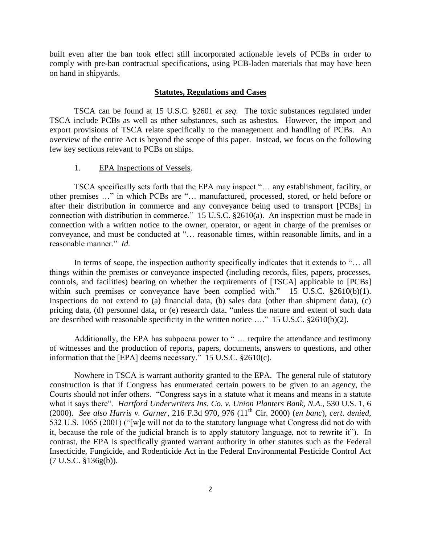built even after the ban took effect still incorporated actionable levels of PCBs in order to comply with pre-ban contractual specifications, using PCB-laden materials that may have been on hand in shipyards.

# **Statutes, Regulations and Cases**

TSCA can be found at 15 U.S.C. §2601 *et seq.* The toxic substances regulated under TSCA include PCBs as well as other substances, such as asbestos. However, the import and export provisions of TSCA relate specifically to the management and handling of PCBs. An overview of the entire Act is beyond the scope of this paper. Instead, we focus on the following few key sections relevant to PCBs on ships.

### 1. EPA Inspections of Vessels.

TSCA specifically sets forth that the EPA may inspect "… any establishment, facility, or other premises …" in which PCBs are "… manufactured, processed, stored, or held before or after their distribution in commerce and any conveyance being used to transport [PCBs] in connection with distribution in commerce." 15 U.S.C. §2610(a). An inspection must be made in connection with a written notice to the owner, operator, or agent in charge of the premises or conveyance, and must be conducted at "… reasonable times, within reasonable limits, and in a reasonable manner." *Id.*

In terms of scope, the inspection authority specifically indicates that it extends to "… all things within the premises or conveyance inspected (including records, files, papers, processes, controls, and facilities) bearing on whether the requirements of [TSCA] applicable to [PCBs] within such premises or conveyance have been complied with." 15 U.S.C.  $$2610(b)(1)$ . Inspections do not extend to (a) financial data, (b) sales data (other than shipment data), (c) pricing data, (d) personnel data, or (e) research data, "unless the nature and extent of such data are described with reasonable specificity in the written notice …." 15 U.S.C. §2610(b)(2).

Additionally, the EPA has subpoena power to " … require the attendance and testimony of witnesses and the production of reports, papers, documents, answers to questions, and other information that the [EPA] deems necessary." 15 U.S.C. §2610(c).

Nowhere in TSCA is warrant authority granted to the EPA. The general rule of statutory construction is that if Congress has enumerated certain powers to be given to an agency, the Courts should not infer others. "Congress says in a statute what it means and means in a statute what it says there". *Hartford Underwriters Ins. Co. v. Union Planters Bank, N.A.*, 530 U.S. 1, 6 (2000). *See also Harris v. Garner*, 216 F.3d 970, 976 (11th Cir. 2000) (*en banc*), *cert. denied*, 532 U.S. 1065 (2001) ("[w]e will not do to the statutory language what Congress did not do with it, because the role of the judicial branch is to apply statutory language, not to rewrite it"). In contrast, the EPA is specifically granted warrant authority in other statutes such as the Federal Insecticide, Fungicide, and Rodenticide Act in the Federal Environmental Pesticide Control Act (7 U.S.C. §136g(b)).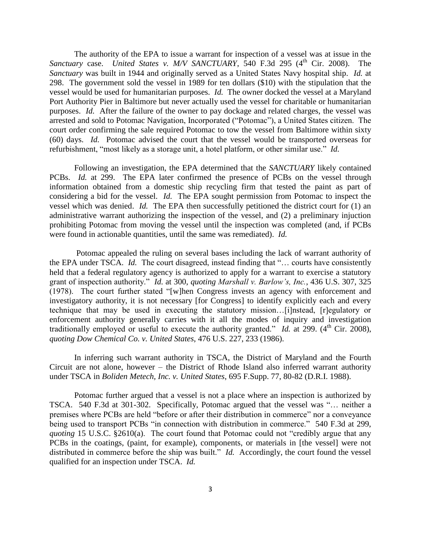The authority of the EPA to issue a warrant for inspection of a vessel was at issue in the *Sanctuary case. United States v. M/V SANCTUARY*, 540 F.3d 295 (4<sup>th</sup> Cir. 2008). The *Sanctuary* was built in 1944 and originally served as a United States Navy hospital ship. *Id.* at 298. The government sold the vessel in 1989 for ten dollars (\$10) with the stipulation that the vessel would be used for humanitarian purposes. *Id.* The owner docked the vessel at a Maryland Port Authority Pier in Baltimore but never actually used the vessel for charitable or humanitarian purposes. *Id.* After the failure of the owner to pay dockage and related charges, the vessel was arrested and sold to Potomac Navigation, Incorporated ("Potomac"), a United States citizen. The court order confirming the sale required Potomac to tow the vessel from Baltimore within sixty (60) days. *Id.* Potomac advised the court that the vessel would be transported overseas for refurbishment, "most likely as a storage unit, a hotel platform, or other similar use." *Id.* 

Following an investigation, the EPA determined that the *SANCTUARY* likely contained PCBs. *Id.* at 299. The EPA later confirmed the presence of PCBs on the vessel through information obtained from a domestic ship recycling firm that tested the paint as part of considering a bid for the vessel. *Id.* The EPA sought permission from Potomac to inspect the vessel which was denied. *Id.* The EPA then successfully petitioned the district court for (1) an administrative warrant authorizing the inspection of the vessel, and (2) a preliminary injuction prohibiting Potomac from moving the vessel until the inspection was completed (and, if PCBs were found in actionable quantities, until the same was remediated). *Id.* 

Potomac appealed the ruling on several bases including the lack of warrant authority of the EPA under TSCA. *Id.* The court disagreed, instead finding that "… courts have consistently held that a federal regulatory agency is authorized to apply for a warrant to exercise a statutory grant of inspection authority." *Id.* at 300, *quoting Marshall v. Barlow's, Inc.*, 436 U.S. 307, 325 (1978). The court further stated "[w]hen Congress invests an agency with enforcement and investigatory authority, it is not necessary [for Congress] to identify explicitly each and every technique that may be used in executing the statutory mission…[i]nstead, [r]egulatory or enforcement authority generally carries with it all the modes of inquiry and investigation traditionally employed or useful to execute the authority granted." *Id.* at 299.  $(4<sup>th</sup> Cir. 2008)$ , *quoting Dow Chemical Co. v. United States*, 476 U.S. 227, 233 (1986).

In inferring such warrant authority in TSCA, the District of Maryland and the Fourth Circuit are not alone, however – the District of Rhode Island also inferred warrant authority under TSCA in *Boliden Metech, Inc. v. United States*, 695 F.Supp. 77, 80-82 (D.R.I. 1988).

Potomac further argued that a vessel is not a place where an inspection is authorized by TSCA. 540 F.3d at 301-302. Specifically, Potomac argued that the vessel was "… neither a premises where PCBs are held "before or after their distribution in commerce" nor a conveyance being used to transport PCBs "in connection with distribution in commerce." 540 F.3d at 299, *quoting* 15 U.S.C. §2610(a). The court found that Potomac could not "credibly argue that any PCBs in the coatings, (paint, for example), components, or materials in [the vessel] were not distributed in commerce before the ship was built." *Id.* Accordingly, the court found the vessel qualified for an inspection under TSCA. *Id.*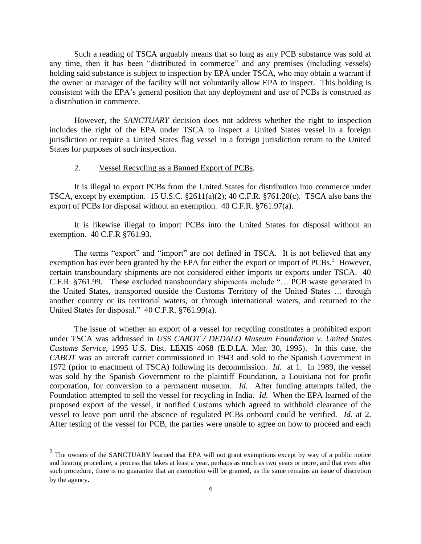Such a reading of TSCA arguably means that so long as any PCB substance was sold at any time, then it has been "distributed in commerce" and any premises (including vessels) holding said substance is subject to inspection by EPA under TSCA, who may obtain a warrant if the owner or manager of the facility will not voluntarily allow EPA to inspect. This holding is consistent with the EPA's general position that any deployment and use of PCBs is construed as a distribution in commerce.

However, the *SANCTUARY* decision does not address whether the right to inspection includes the right of the EPA under TSCA to inspect a United States vessel in a foreign jurisdiction or require a United States flag vessel in a foreign jurisdiction return to the United States for purposes of such inspection.

### 2. Vessel Recycling as a Banned Export of PCBs.

It is illegal to export PCBs from the United States for distribution into commerce under TSCA, except by exemption. 15 U.S.C.  $\S2611(a)(2)$ ; 40 C.F.R.  $\S761.20(c)$ . TSCA also bans the export of PCBs for disposal without an exemption. 40 C.F.R. §761.97(a).

It is likewise illegal to import PCBs into the United States for disposal without an exemption. 40 C.F.R §761.93.

The terms "export" and "import" are not defined in TSCA. It is not believed that any exemption has ever been granted by the EPA for either the export or import of  $PCBs$ .<sup>2</sup> However, certain transboundary shipments are not considered either imports or exports under TSCA. 40 C.F.R. §761.99. These excluded transboundary shipments include "… PCB waste generated in the United States, transported outside the Customs Territory of the United States … through another country or its territorial waters, or through international waters, and returned to the United States for disposal." 40 C.F.R. §761.99(a).

The issue of whether an export of a vessel for recycling constitutes a prohibited export under TSCA was addressed in *USS CABOT / DEDALO Museum Foundation v. United States Customs Service*, 1995 U.S. Dist. LEXIS 4068 (E.D.LA. Mar. 30, 1995). In this case, the *CABOT* was an aircraft carrier commissioned in 1943 and sold to the Spanish Government in 1972 (prior to enactment of TSCA) following its decommission. *Id.* at 1. In 1989, the vessel was sold by the Spanish Government to the plaintiff Foundation, a Louisiana not for profit corporation, for conversion to a permanent museum. *Id.* After funding attempts failed, the Foundation attempted to sell the vessel for recycling in India. *Id.* When the EPA learned of the proposed export of the vessel, it notified Customs which agreed to withhold clearance of the vessel to leave port until the absence of regulated PCBs onboard could be verified. *Id.* at 2. After testing of the vessel for PCB, the parties were unable to agree on how to proceed and each

<sup>&</sup>lt;sup>2</sup> The owners of the SANCTUARY learned that EPA will not grant exemptions except by way of a public notice and hearing procedure, a process that takes at least a year, perhaps as much as two years or more, and that even after such procedure, there is no guarantee that an exemption will be granted, as the same remains an issue of discretion by the agency.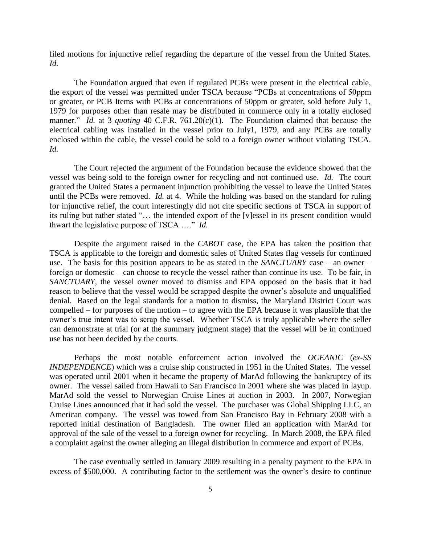filed motions for injunctive relief regarding the departure of the vessel from the United States. *Id.* 

The Foundation argued that even if regulated PCBs were present in the electrical cable, the export of the vessel was permitted under TSCA because "PCBs at concentrations of 50ppm or greater, or PCB Items with PCBs at concentrations of 50ppm or greater, sold before July 1, 1979 for purposes other than resale may be distributed in commerce only in a totally enclosed manner." *Id.* at 3 *quoting* 40 C.F.R. 761.20(c)(1). The Foundation claimed that because the electrical cabling was installed in the vessel prior to July1, 1979, and any PCBs are totally enclosed within the cable, the vessel could be sold to a foreign owner without violating TSCA. *Id.*

The Court rejected the argument of the Foundation because the evidence showed that the vessel was being sold to the foreign owner for recycling and not continued use. *Id.* The court granted the United States a permanent injunction prohibiting the vessel to leave the United States until the PCBs were removed. *Id.* at 4.While the holding was based on the standard for ruling for injunctive relief, the court interestingly did not cite specific sections of TSCA in support of its ruling but rather stated "… the intended export of the [v]essel in its present condition would thwart the legislative purpose of TSCA …." *Id.*

Despite the argument raised in the *CABOT* case, the EPA has taken the position that TSCA is applicable to the foreign and domestic sales of United States flag vessels for continued use. The basis for this position appears to be as stated in the *SANCTUARY* case – an owner – foreign or domestic – can choose to recycle the vessel rather than continue its use. To be fair, in *SANCTUARY*, the vessel owner moved to dismiss and EPA opposed on the basis that it had reason to believe that the vessel would be scrapped despite the owner's absolute and unqualified denial. Based on the legal standards for a motion to dismiss, the Maryland District Court was compelled – for purposes of the motion – to agree with the EPA because it was plausible that the owner's true intent was to scrap the vessel. Whether TSCA is truly applicable where the seller can demonstrate at trial (or at the summary judgment stage) that the vessel will be in continued use has not been decided by the courts.

Perhaps the most notable enforcement action involved the *OCEANIC* (*ex-SS INDEPENDENCE*) which was a cruise ship constructed in 1951 in the United States. The vessel was operated until 2001 when it became the property of MarAd following the bankruptcy of its owner. The vessel sailed from Hawaii to San Francisco in 2001 where she was placed in layup. MarAd sold the vessel to Norwegian Cruise Lines at auction in 2003. In 2007, Norwegian Cruise Lines announced that it had sold the vessel. The purchaser was Global Shipping LLC, an American company. The vessel was towed from San Francisco Bay in February 2008 with a reported initial destination of Bangladesh. The owner filed an application with MarAd for approval of the sale of the vessel to a foreign owner for recycling. In March 2008, the EPA filed a complaint against the owner alleging an illegal distribution in commerce and export of PCBs.

The case eventually settled in January 2009 resulting in a penalty payment to the EPA in excess of \$500,000. A contributing factor to the settlement was the owner's desire to continue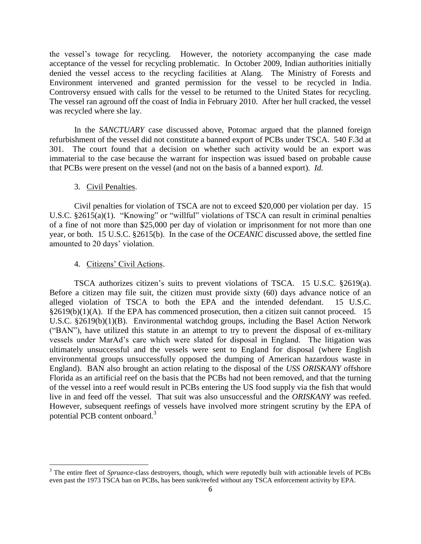the vessel's towage for recycling. However, the notoriety accompanying the case made acceptance of the vessel for recycling problematic. In October 2009, Indian authorities initially denied the vessel access to the recycling facilities at Alang. The Ministry of Forests and Environment intervened and granted permission for the vessel to be recycled in India. Controversy ensued with calls for the vessel to be returned to the United States for recycling. The vessel ran aground off the coast of India in February 2010. After her hull cracked, the vessel was recycled where she lay.

In the *SANCTUARY* case discussed above, Potomac argued that the planned foreign refurbishment of the vessel did not constitute a banned export of PCBs under TSCA. 540 F.3d at 301. The court found that a decision on whether such activity would be an export was immaterial to the case because the warrant for inspection was issued based on probable cause that PCBs were present on the vessel (and not on the basis of a banned export). *Id.* 

# 3. Civil Penalties.

Civil penalties for violation of TSCA are not to exceed \$20,000 per violation per day. 15 U.S.C. §2615(a)(1). "Knowing" or "willful" violations of TSCA can result in criminal penalties of a fine of not more than \$25,000 per day of violation or imprisonment for not more than one year, or both. 15 U.S.C. §2615(b). In the case of the *OCEANIC* discussed above, the settled fine amounted to 20 days' violation.

### 4. Citizens' Civil Actions.

 $\overline{a}$ 

TSCA authorizes citizen's suits to prevent violations of TSCA. 15 U.S.C. §2619(a). Before a citizen may file suit, the citizen must provide sixty (60) days advance notice of an alleged violation of TSCA to both the EPA and the intended defendant. 15 U.S.C.  $§2619(b)(1)(A)$ . If the EPA has commenced prosecution, then a citizen suit cannot proceed. 15 U.S.C. §2619(b)(1)(B). Environmental watchdog groups, including the Basel Action Network ("BAN"), have utilized this statute in an attempt to try to prevent the disposal of ex-military vessels under MarAd's care which were slated for disposal in England. The litigation was ultimately unsuccessful and the vessels were sent to England for disposal (where English environmental groups unsuccessfully opposed the dumping of American hazardous waste in England). BAN also brought an action relating to the disposal of the *USS ORISKANY* offshore Florida as an artificial reef on the basis that the PCBs had not been removed, and that the turning of the vessel into a reef would result in PCBs entering the US food supply via the fish that would live in and feed off the vessel. That suit was also unsuccessful and the *ORISKANY* was reefed. However, subsequent reefings of vessels have involved more stringent scrutiny by the EPA of potential PCB content onboard.<sup>3</sup>

<sup>&</sup>lt;sup>3</sup> The entire fleet of *Spruance*-class destroyers, though, which were reputedly built with actionable levels of PCBs even past the 1973 TSCA ban on PCBs, has been sunk/reefed without any TSCA enforcement activity by EPA.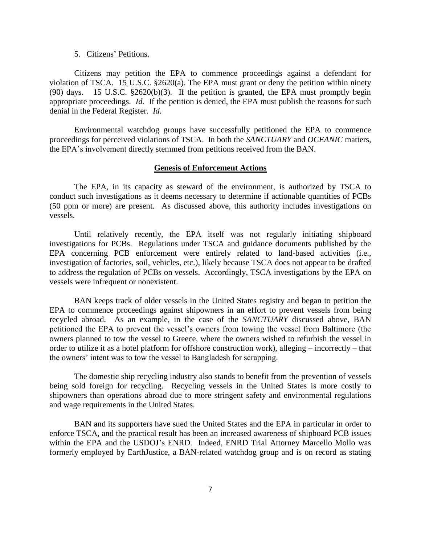#### 5. Citizens' Petitions.

Citizens may petition the EPA to commence proceedings against a defendant for violation of TSCA. 15 U.S.C. §2620(a). The EPA must grant or deny the petition within ninety (90) days. 15 U.S.C. §2620(b)(3). If the petition is granted, the EPA must promptly begin appropriate proceedings. *Id.* If the petition is denied, the EPA must publish the reasons for such denial in the Federal Register. *Id.* 

Environmental watchdog groups have successfully petitioned the EPA to commence proceedings for perceived violations of TSCA. In both the *SANCTUARY* and *OCEANIC* matters, the EPA's involvement directly stemmed from petitions received from the BAN.

#### **Genesis of Enforcement Actions**

The EPA, in its capacity as steward of the environment, is authorized by TSCA to conduct such investigations as it deems necessary to determine if actionable quantities of PCBs (50 ppm or more) are present. As discussed above, this authority includes investigations on vessels.

Until relatively recently, the EPA itself was not regularly initiating shipboard investigations for PCBs. Regulations under TSCA and guidance documents published by the EPA concerning PCB enforcement were entirely related to land-based activities (i.e., investigation of factories, soil, vehicles, etc.), likely because TSCA does not appear to be drafted to address the regulation of PCBs on vessels. Accordingly, TSCA investigations by the EPA on vessels were infrequent or nonexistent.

BAN keeps track of older vessels in the United States registry and began to petition the EPA to commence proceedings against shipowners in an effort to prevent vessels from being recycled abroad. As an example, in the case of the *SANCTUARY* discussed above, BAN petitioned the EPA to prevent the vessel's owners from towing the vessel from Baltimore (the owners planned to tow the vessel to Greece, where the owners wished to refurbish the vessel in order to utilize it as a hotel platform for offshore construction work), alleging – incorrectly – that the owners' intent was to tow the vessel to Bangladesh for scrapping.

The domestic ship recycling industry also stands to benefit from the prevention of vessels being sold foreign for recycling. Recycling vessels in the United States is more costly to shipowners than operations abroad due to more stringent safety and environmental regulations and wage requirements in the United States.

BAN and its supporters have sued the United States and the EPA in particular in order to enforce TSCA, and the practical result has been an increased awareness of shipboard PCB issues within the EPA and the USDOJ's ENRD. Indeed, ENRD Trial Attorney Marcello Mollo was formerly employed by EarthJustice, a BAN-related watchdog group and is on record as stating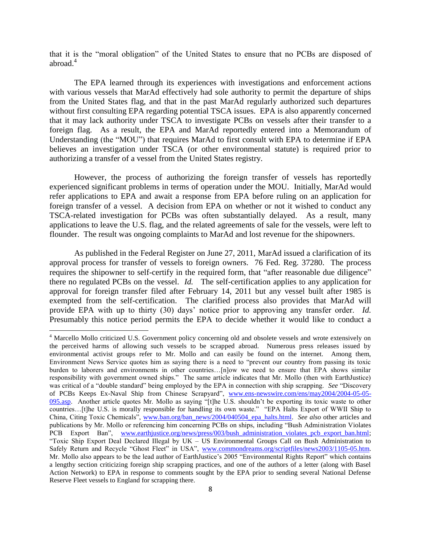that it is the "moral obligation" of the United States to ensure that no PCBs are disposed of abroad.<sup>4</sup>

The EPA learned through its experiences with investigations and enforcement actions with various vessels that MarAd effectively had sole authority to permit the departure of ships from the United States flag, and that in the past MarAd regularly authorized such departures without first consulting EPA regarding potential TSCA issues. EPA is also apparently concerned that it may lack authority under TSCA to investigate PCBs on vessels after their transfer to a foreign flag. As a result, the EPA and MarAd reportedly entered into a Memorandum of Understanding (the "MOU") that requires MarAd to first consult with EPA to determine if EPA believes an investigation under TSCA (or other environmental statute) is required prior to authorizing a transfer of a vessel from the United States registry.

However, the process of authorizing the foreign transfer of vessels has reportedly experienced significant problems in terms of operation under the MOU. Initially, MarAd would refer applications to EPA and await a response from EPA before ruling on an application for foreign transfer of a vessel. A decision from EPA on whether or not it wished to conduct any TSCA-related investigation for PCBs was often substantially delayed. As a result, many applications to leave the U.S. flag, and the related agreements of sale for the vessels, were left to flounder. The result was ongoing complaints to MarAd and lost revenue for the shipowners.

As published in the Federal Register on June 27, 2011, MarAd issued a clarification of its approval process for transfer of vessels to foreign owners. 76 Fed. Reg. 37280. The process requires the shipowner to self-certify in the required form, that "after reasonable due diligence" there no regulated PCBs on the vessel. *Id.* The self-certification applies to any application for approval for foreign transfer filed after February 14, 2011 but any vessel built after 1985 is exempted from the self-certification. The clarified process also provides that MarAd will provide EPA with up to thirty (30) days' notice prior to approving any transfer order. *Id.*  Presumably this notice period permits the EPA to decide whether it would like to conduct a

 $\overline{\phantom{a}}$ 

<sup>4</sup> Marcello Mollo criticized U.S. Government policy concerning old and obsolete vessels and wrote extensively on the perceived harms of allowing such vessels to be scrapped abroad. Numerous press releases issued by environmental activist groups refer to Mr. Mollo and can easily be found on the internet. Among them, Environment News Service quotes him as saying there is a need to "prevent our country from passing its toxic burden to laborers and environments in other countries…[n]ow we need to ensure that EPA shows similar responsibility with government owned ships." The same article indicates that Mr. Mollo (then with EarthJustice) was critical of a "double standard" being employed by the EPA in connection with ship scrapping. *See* "Discovery of PCBs Keeps Ex-Naval Ship from Chinese Scrapyard", [www.ens-newswire.com/ens/may2004/2004-05-05-](http://www.ens-newswire.com/ens/may2004/2004-05-05-095.asp) [095.asp.](http://www.ens-newswire.com/ens/may2004/2004-05-05-095.asp) Another article quotes Mr. Mollo as saying "[t]he U.S. shouldn't be exporting its toxic waste to other countries…[t]he U.S. is morally responsible for handling its own waste." "EPA Halts Export of WWII Ship to China, Citing Toxic Chemicals", [www.ban.org/ban\\_news/2004/040504\\_epa\\_halts.html.](http://www.ban.org/ban_news/2004/040504_epa_halts.html) *See also* other articles and publications by Mr. Mollo or referencing him concerning PCBs on ships, including "Bush Administration Violates PCB Export Ban", [www.earthjustice.org/news/press/003/bush\\_administration\\_violates\\_pcb\\_export\\_ban.html;](http://www.earthjustice.org/news/press/003/bush_administration_violates_pcb_export_ban.html) "Toxic Ship Export Deal Declared Illegal by UK – US Environmental Groups Call on Bush Administration to Safely Return and Recycle "Ghost Fleet" in USA", [www.commondreams.org/scriptfiles/news2003/1105-05.htm.](http://www.commondreams.org/scriptfiles/news2003/1105-05.html) Mr. Mollo also appears to be the lead author of EarthJustice's 2005 "Environmental Rights Report" which contains a lengthy section criticizing foreign ship scrapping practices, and one of the authors of a letter (along with Basel Action Network) to EPA in response to comments sought by the EPA prior to sending several National Defense Reserve Fleet vessels to England for scrapping there.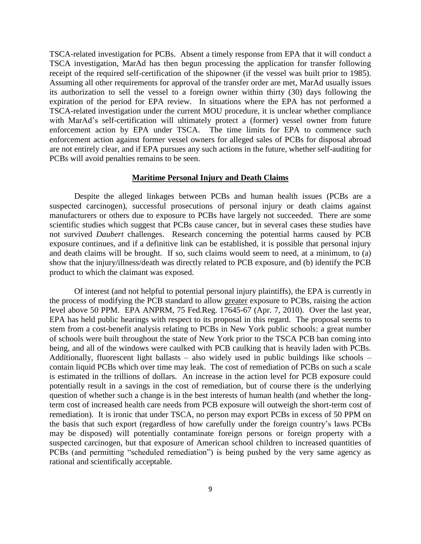TSCA-related investigation for PCBs. Absent a timely response from EPA that it will conduct a TSCA investigation, MarAd has then begun processing the application for transfer following receipt of the required self-certification of the shipowner (if the vessel was built prior to 1985). Assuming all other requirements for approval of the transfer order are met, MarAd usually issues its authorization to sell the vessel to a foreign owner within thirty (30) days following the expiration of the period for EPA review. In situations where the EPA has not performed a TSCA-related investigation under the current MOU procedure, it is unclear whether compliance with MarAd's self-certification will ultimately protect a (former) vessel owner from future enforcement action by EPA under TSCA. The time limits for EPA to commence such enforcement action against former vessel owners for alleged sales of PCBs for disposal abroad are not entirely clear, and if EPA pursues any such actions in the future, whether self-auditing for PCBs will avoid penalties remains to be seen.

# **Maritime Personal Injury and Death Claims**

Despite the alleged linkages between PCBs and human health issues (PCBs are a suspected carcinogen), successful prosecutions of personal injury or death claims against manufacturers or others due to exposure to PCBs have largely not succeeded. There are some scientific studies which suggest that PCBs cause cancer, but in several cases these studies have not survived *Daubert* challenges. Research concerning the potential harms caused by PCB exposure continues, and if a definitive link can be established, it is possible that personal injury and death claims will be brought. If so, such claims would seem to need, at a minimum, to (a) show that the injury/illness/death was directly related to PCB exposure, and (b) identify the PCB product to which the claimant was exposed.

Of interest (and not helpful to potential personal injury plaintiffs), the EPA is currently in the process of modifying the PCB standard to allow greater exposure to PCBs, raising the action level above 50 PPM. EPA ANPRM, 75 Fed.Reg. 17645-67 (Apr. 7, 2010).Over the last year, EPA has held public hearings with respect to its proposal in this regard. The proposal seems to stem from a cost-benefit analysis relating to PCBs in New York public schools: a great number of schools were built throughout the state of New York prior to the TSCA PCB ban coming into being, and all of the windows were caulked with PCB caulking that is heavily laden with PCBs. Additionally, fluorescent light ballasts – also widely used in public buildings like schools – contain liquid PCBs which over time may leak. The cost of remediation of PCBs on such a scale is estimated in the trillions of dollars. An increase in the action level for PCB exposure could potentially result in a savings in the cost of remediation, but of course there is the underlying question of whether such a change is in the best interests of human health (and whether the longterm cost of increased health care needs from PCB exposure will outweigh the short-term cost of remediation). It is ironic that under TSCA, no person may export PCBs in excess of 50 PPM on the basis that such export (regardless of how carefully under the foreign country's laws PCBs may be disposed) will potentially contaminate foreign persons or foreign property with a suspected carcinogen, but that exposure of American school children to increased quantities of PCBs (and permitting "scheduled remediation") is being pushed by the very same agency as rational and scientifically acceptable.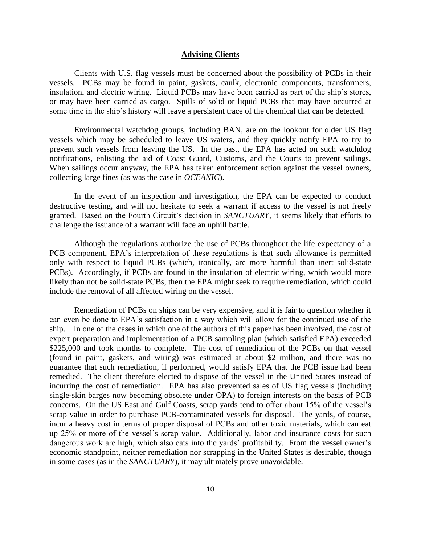#### **Advising Clients**

Clients with U.S. flag vessels must be concerned about the possibility of PCBs in their vessels. PCBs may be found in paint, gaskets, caulk, electronic components, transformers, insulation, and electric wiring. Liquid PCBs may have been carried as part of the ship's stores, or may have been carried as cargo. Spills of solid or liquid PCBs that may have occurred at some time in the ship's history will leave a persistent trace of the chemical that can be detected.

Environmental watchdog groups, including BAN, are on the lookout for older US flag vessels which may be scheduled to leave US waters, and they quickly notify EPA to try to prevent such vessels from leaving the US. In the past, the EPA has acted on such watchdog notifications, enlisting the aid of Coast Guard, Customs, and the Courts to prevent sailings. When sailings occur anyway, the EPA has taken enforcement action against the vessel owners, collecting large fines (as was the case in *OCEANIC*).

In the event of an inspection and investigation, the EPA can be expected to conduct destructive testing, and will not hesitate to seek a warrant if access to the vessel is not freely granted. Based on the Fourth Circuit's decision in *SANCTUARY*, it seems likely that efforts to challenge the issuance of a warrant will face an uphill battle.

Although the regulations authorize the use of PCBs throughout the life expectancy of a PCB component, EPA's interpretation of these regulations is that such allowance is permitted only with respect to liquid PCBs (which, ironically, are more harmful than inert solid-state PCBs). Accordingly, if PCBs are found in the insulation of electric wiring, which would more likely than not be solid-state PCBs, then the EPA might seek to require remediation, which could include the removal of all affected wiring on the vessel.

Remediation of PCBs on ships can be very expensive, and it is fair to question whether it can even be done to EPA's satisfaction in a way which will allow for the continued use of the ship. In one of the cases in which one of the authors of this paper has been involved, the cost of expert preparation and implementation of a PCB sampling plan (which satisfied EPA) exceeded \$225,000 and took months to complete. The cost of remediation of the PCBs on that vessel (found in paint, gaskets, and wiring) was estimated at about \$2 million, and there was no guarantee that such remediation, if performed, would satisfy EPA that the PCB issue had been remedied. The client therefore elected to dispose of the vessel in the United States instead of incurring the cost of remediation. EPA has also prevented sales of US flag vessels (including single-skin barges now becoming obsolete under OPA) to foreign interests on the basis of PCB concerns. On the US East and Gulf Coasts, scrap yards tend to offer about 15% of the vessel's scrap value in order to purchase PCB-contaminated vessels for disposal. The yards, of course, incur a heavy cost in terms of proper disposal of PCBs and other toxic materials, which can eat up 25% or more of the vessel's scrap value. Additionally, labor and insurance costs for such dangerous work are high, which also eats into the yards' profitability. From the vessel owner's economic standpoint, neither remediation nor scrapping in the United States is desirable, though in some cases (as in the *SANCTUARY*), it may ultimately prove unavoidable.